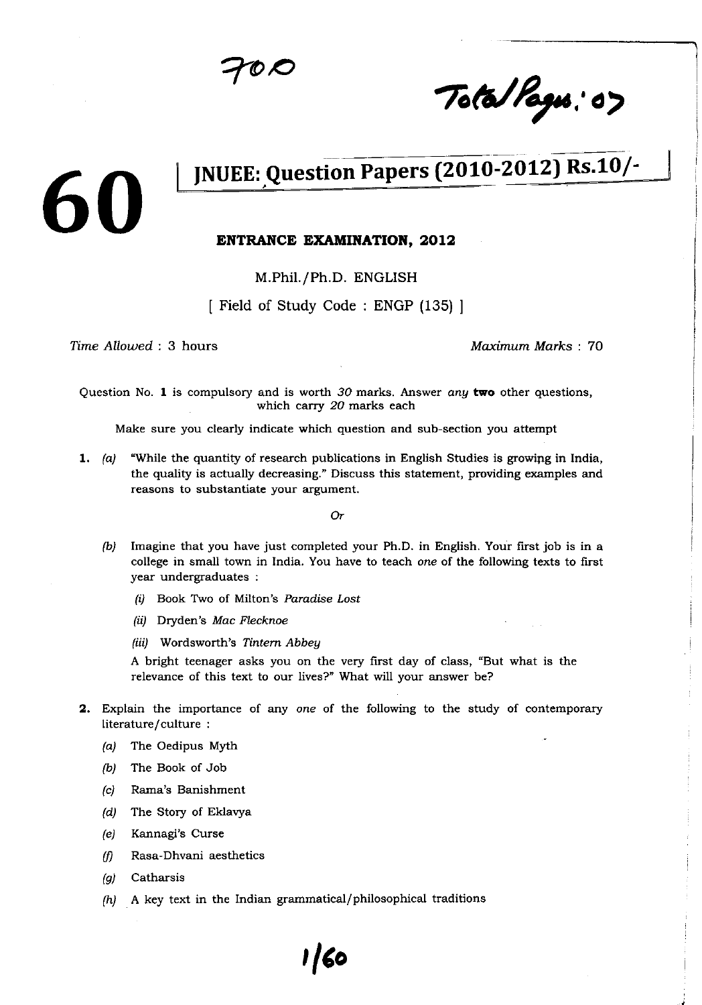Total Pages: 07

## JNUEE: Question Papers (2010-2012) Rs.10/-

#### **ENTRANCE EXAMINATION, 2012**

M.Phil./Ph.D. ENGLISH

[ Field of Study Code : ENGP (135) ]

Time Allowed : **3 hours** *Maximum Marks : 70*

60

Question No. 1 is compulsory and is worth 30 marks. Answer any **two other** questions, which carry 20 marks each

**Make sure** you clearly **indicate which question and sub**-**section you attempt**

1. (a) "While the quantity of research publications in English Studies is growing in India, the quality is actually decreasing." Discuss this statement, providing examples and reasons to substantiate your argument.

Or

- (b) Imagine that you have just completed your Ph.D. in English. Your first job is in a college in small town in India. You have to teach one of the following texts to first year undergraduates :
	- (i) Book Two of Milton's *Paradise* Lost
	- (ii) Dryden's *Mac Flecknoe*
	- (iii) Wordsworth's *Tintern Abbey*

A bright teenager asks you on the very first day of class, "But what is the relevance of this text to our lives?" What will your answer be?

- 2. Explain the importance of any one of the following to the study of contemporary literature/culture:
	- (a) The Oedipus Myth
	- (b) The Book of Job
	- (c) Rama's Banishment
	- (d) The Story of Eklavya
	- (e) Kannagi's Curse
	- $(f)$  Rasa-Dhvani aesthetics
	- (g) Catharsis
	- (h) A key text in the Indian grammatical/ philosophical traditions

**I/to**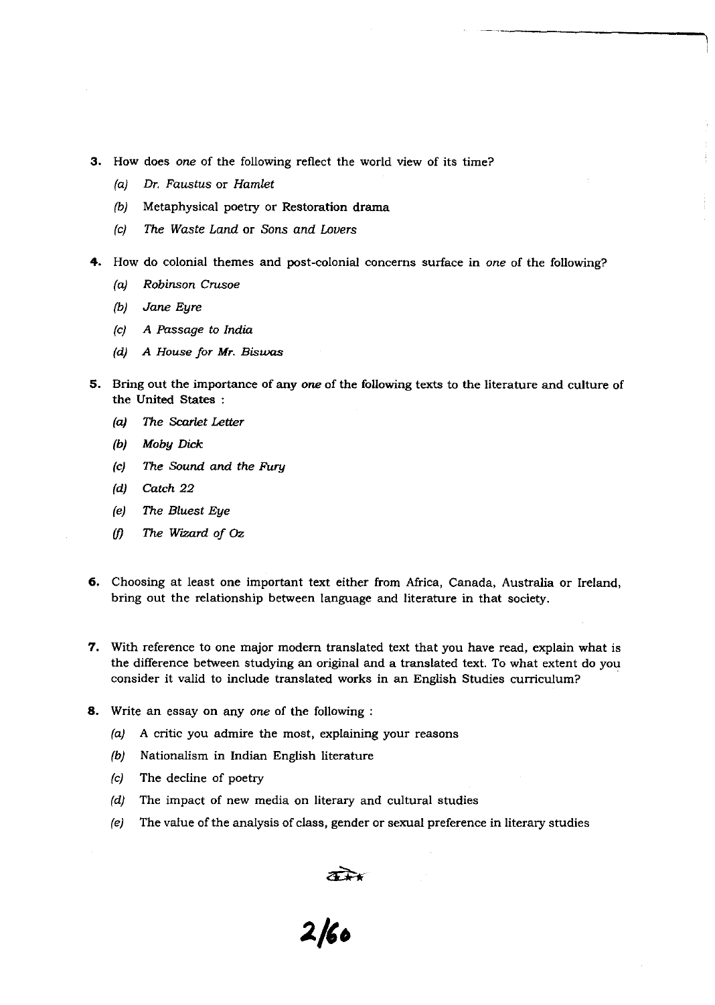- 3. How does one of the following reflect the world view of its time?
	- *(a) Dr.* Faustus or *Hamlet*
	- (b) Metaphysical poetry or Restoration drama
	- *(c) The Waste Land* or Sons *and Lovers*
- 4. How do colonial themes and post-colonial concerns surface in *one* of the following?
	- (a) Robinson *Crusoe*
	- (b) Jane *Eyre*
	- (c) A Passage to India
	- *(d) A House for Mr. Biswas*
- 5. Bring out the importance of any one of the following texts to the literature and culture of the United States :
	- (a) *The* **Scarlet** *Letter*
	- *Moby Dick*
	- $|c|$ **The Sound and the Fury**
	- (d) Catch 22
	- $(e)$ The Bluest Eye
	- (f) The Wizard of Oz
- 6. Choosing at least one important text either from Africa, Canada, Australia or Ireland, bring out the relationship between language and literature in that society.
- 7. With reference to one major modern translated text that you have read, explain what is the difference between studying an original and a translated text. To what extent do you consider it valid to include translated works in an English Studies curriculum?
- 8. Write an essay on any one of the following :
	- (a) A critic you admire the most, explaining your reasons
	- (b) Nationalism in Indian English literature
	- (c) The decline of poetry
	- (d) The impact of new media on literary and cultural studies
	- (e) The value of the analysis of class, gender or sexual preference in literary studies

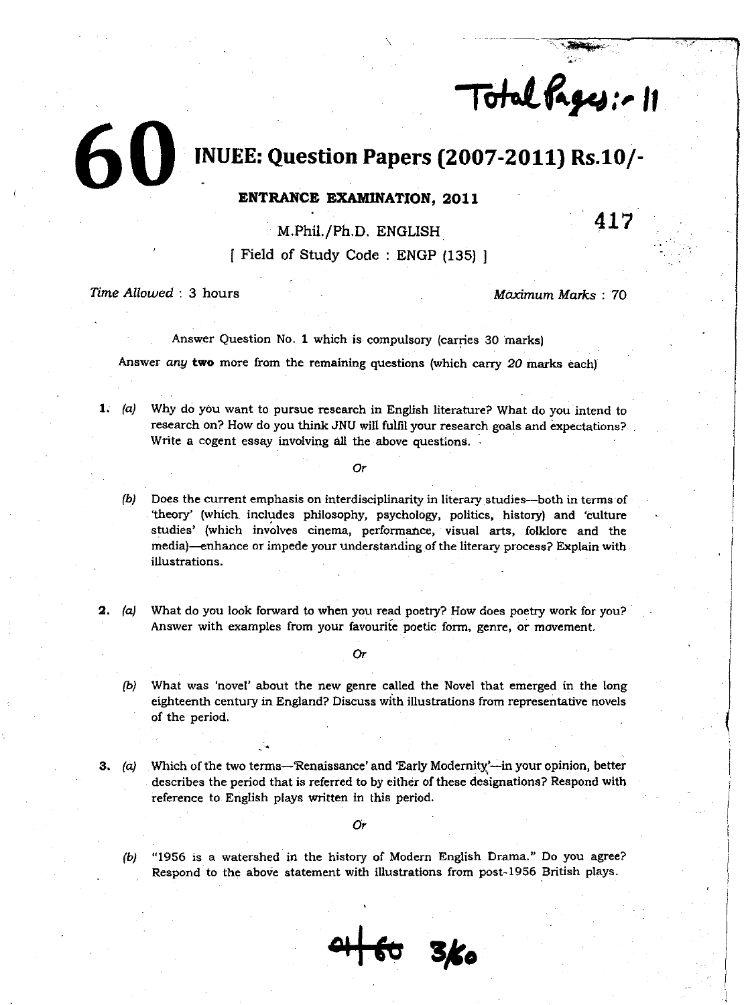Total Pages: - 11

# 6**O INUEE**: **Question Papers** (**2007**-**2011**) **Rs.10/-**

### **ENTRANCE EXAMINATION, 2011**

**M.Phil**./**Ph.D. ENGLISH**

**Field of Study Code : ENGP (135) 1**

*Time Allowed* : 3 hours **Maximum Marks : 70** Maximum Marks : 70

**Al**

Answer Question No. 1 which is compulsory (carries 30 marks)

Answer any **two more from the remaining questions** (which carry 20 marks each)

**1.** (a) Why do you want to pursue research in English literature? What do you intend to **research on? How do you think JNU will fulfil your research goals and expectations? Write a cogent essay involving all the above questions.**

**Or**

- **(b) Does the current emphasis on interdisciplinarity in literary studies-both in terms of 'theory'** (**which includes philosophy**, **psychology**, **politics, history**) **and 'culture studies'** (**which involves cinema, performance** , **visual arts**, **folklore and the media**)-**enhance or impede your understanding of the literary process? Explain with illustrations.**
- **2. (a) What do you look forward to when you read poetry**? **How does poetry work for you? Answer with examples from your favourite poetic form** , **genre, or movement.**
	- **Or**
	- **(b) What was** '**novel' about the new genre called the Novel that emerged in the long eighteenth century in England? Discuss with illustrations from representative novels of the period.**
- **3. (a) Which of the two terms**-**Renaissance**' **and 'Early Modernity**'-**in your opinion, better describes the period that is referred to by either of these designations** ? **Respond with** r**eference to English plays written in this period.**

**Or**

**(b) "1956 is a watershed in the history of Modem English Drama." Do you agree? Respond to the above statement with illustrations from post-1956 British plays.**

at to 3/60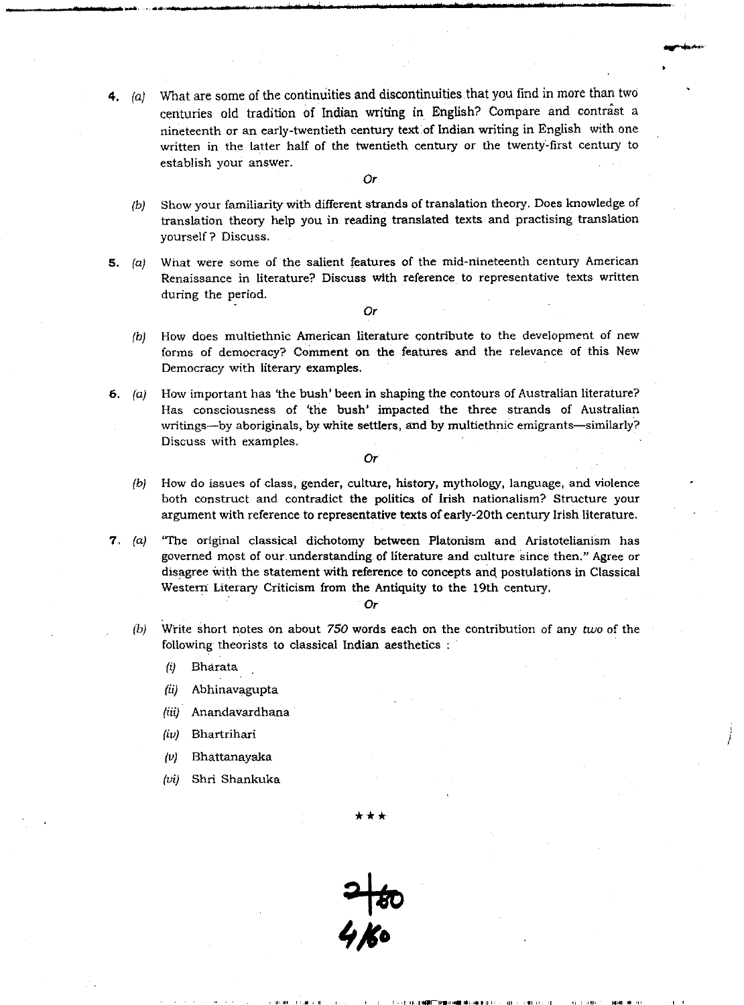$(a)$  What are some of the continuities and discontinuities that you find in more than two centuries old tradition of Indian writing in English? Compare and contrast a nineteenth or an early-twentieth century text of Indian writing in English with one written in the latter half of the twentieth century or the twenty-first century to establish your answer.

Or

- (b) Show your familiarity **with different strands of translation** theory. **Does knowledge of translation** theory help you **in reading translated texts and practising translation** yourself ? **Discuss.**
- 5. (a) What were **some of the salient features of the mid**-**nineteenth** century American **Renaissance in literature**? **Discuss with reference to representative texts written** during the period.

*Or*

- (b) How does multiethnic American literature contribute to the development of new forms of democracy? Comment on the features and the relevance of this New Democracy with literary examples.
- 6. (a) How important has 'the bush' been in shaping the contours of Australian literature? Has consciousness of 'the bush' impacted the three strands of Australian writings-by aboriginals, by white settlers, and by multiethnic emigrants-similarly? Discuss with examples.

Or

- (b) How do **issues of class, gender**, **culture, history**, mythology, **language** , **and violence** both construct and contradict the politics of Irish nationalism? Structure your **argument with reference to representative texts of early**-20th century **Irish literature.**
- 7.. (a) 'The original **classical dichotomy between Platonism and Aristotelianism has governed** most of our. **understanding of literature and culture since then** ." **Agree or disagree** with the **statement with reference to concepts and, postulations in Classical** Western Literary **Criticism from the Antiquity to the 19th** century.

*Or*

- (b) Write short notes on about 750 **words each on the contribution** of any two of the **following theorists to classical Indian aesthetics**
	- $(i)$ Bharata
	- $(ii)$ Abhinavagupta
	- Anandavardhana
	- Bhartrihari
	- Bhattanayaka  $|\nu\rangle$
	- Shri Shankuka



I 1. I.4.IpN .. **,.M IYI**-**IW, II.**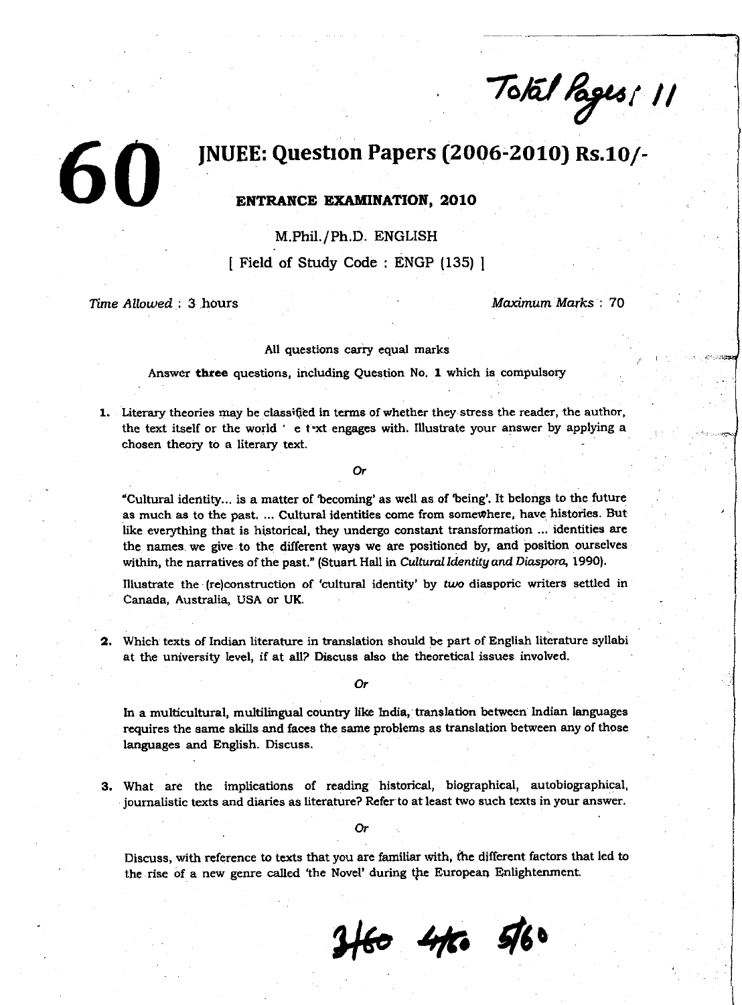$70/61$  Pages: 11

## JNUEE: Question Papers (2006-2010) Rs.10/- 60 **ENTRANCE EXAMINATION, 2010**

M.Phil./Ph.D. ENGLISH

[ Field of Study Code : ENGP (135) ]

*Time Allowed :* **3 .hours** *Maximum* Marks : 70

All questions carry equal marks

Answer three questions, including Question No. 1 which is compulsory

1. Literary theories may **be classi¢ed in terms of** whether they stress the reader, the author, the text itself or the world ' e text **engages with**. Illustrate your answer by applying a chosen theory to a literary text.

Or

**"Cultural identity**... **is a matter of 'becoming**' **as well as of being'. It belongs to the future as much as to the past**. ... **Cultural identities come from somewhere** , **have histories. But like everything that is historical** , **they undergo constant transformation** ... **identities are the names**, **we give to the different ways we are positioned by, and position ourselves within, the narratives of the past**." (**Stuart Hall in Cultural** *Identity and* **Diaspora**, **1990).**

**Illustrate the** (**re)construction of 'cultural identity** ' **by** *two* **diasporic writers settled in Canada, Australia**, **USA or UK.**

**2. Which texts of Indian literature in translation should be part of English literature syllabi at the university level, if at all? Discuss also the theoretical issues involved.**

Or

In a multicultural, **multilingual** country **like India**, translation between Indian **languages** requires the same skills **and faces** the same problems **as translation** between any of those **languages and** English. Discuss.

**3.** What are the implications of reading historical, biographical, autobiographical, **journalistic texts and diaries as literature? Refer to at least two such texts in your answer.**

Or

**Discuss, with reference to texts that you are familiar with, the different factors that led to the rise of a new genre called** t**he Novel**' **during the European Enlightenment.**

**3+60 4th 5/60**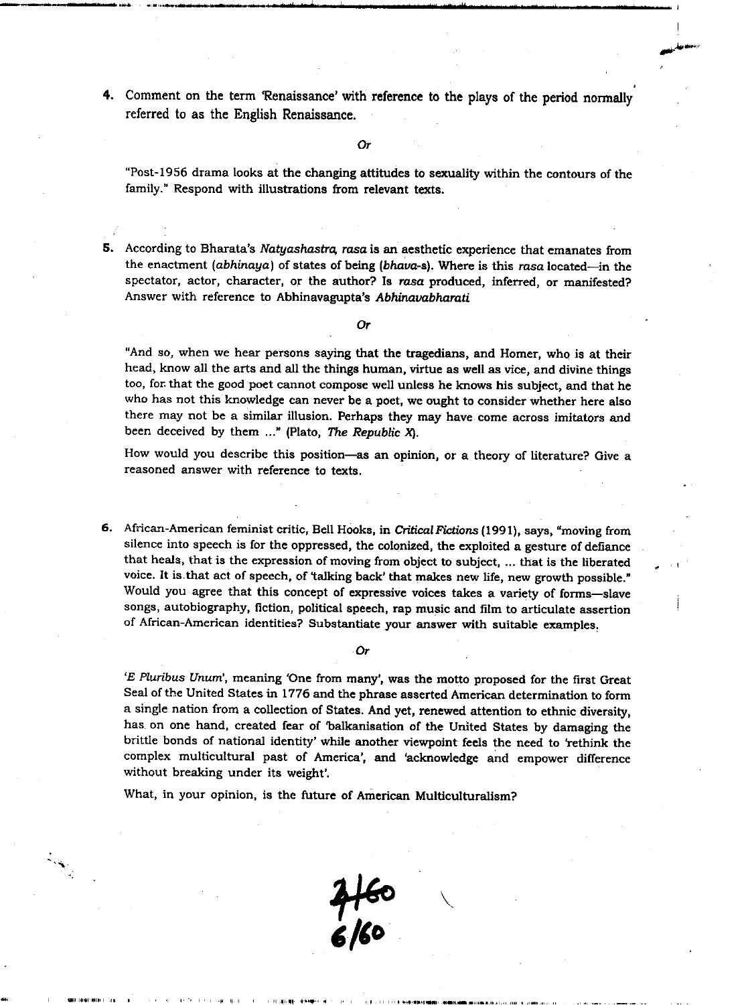4. Comment on the term 'Renaissance' with **reference** to the plays of the period normally referred to as the English **Renaissance.**

Or

"Post-1956 drama looks at the **changing attitudes** to sexuality within the contours of the family." Respond with illustrations **from relevant texts.**

5. According to Bharata's Natyashastra, rasa is an aesthetic experience that emanates from the enactment (abhinaya) **of states of being** (**bhava**-**s). Where is this rasa** located-in the spectator, actor, character, or the author? **Is rasa produced**, inferred, or manifested? Answer with reference **to Abhinavagupta**'**s Abhinavabharati**

Or

"And so, when we hear persons saying that the tragedians, and Homer, who is at their head, know all the arts and all the things human, virtue **as well** as vice, and divine things too, for that the good poet cannot compose **well unless** he knows his subject, and that he who has not this knowledge can never be a poet, we ought to consider whether here also there may not be a similar illusion. Perhaps they may have come across imitators and been deceived by them  $\ldots$ " (Plato, The Republic X).

How would you describe this position-**as an opinion**, or a theory of literature? Give a reasoned answer with reference to texts.

6. African-American feminist critic, Bell Hooks, in Critical Fictions (1991), says, "moving from silence into speech is for the oppressed, the colonized, the exploited a gesture of defiance that heals, that is the expression of moving from object to subject, ... that is the liberated voice. It is. that act of speech, of 'talking back' that makes new life, new growth possible." Would you agree that this concept of **expressive voices takes** a variety of forms-slave songs, autobiography, fiction, political **speech**, **rap music** and film to articulate **assertion** of African-American identities? Substantiate your **answer** with suitable **examples.**

#### Or

*'E Pluribus Unum',* meaning 'One from many', was the motto proposed for the first Great Seal of the United States in 1776 and the phrase asserted American determination to form a single nation from a collection of States. And yet, renewed attention to ethnic diversity, has on one hand, created fear of 'balkanisation of the United States by damaging the brittle bonds of national identity' while another viewpoint feels the need to 'rethink the complex multicultural past of America', and 'acknowledge and empower difference without breaking under its weight'.

What, in your opinion, is the future of American Multiculturalism?

I **INI I**<br>I III INI INI INI IN

**4**44o 6/6o

**\**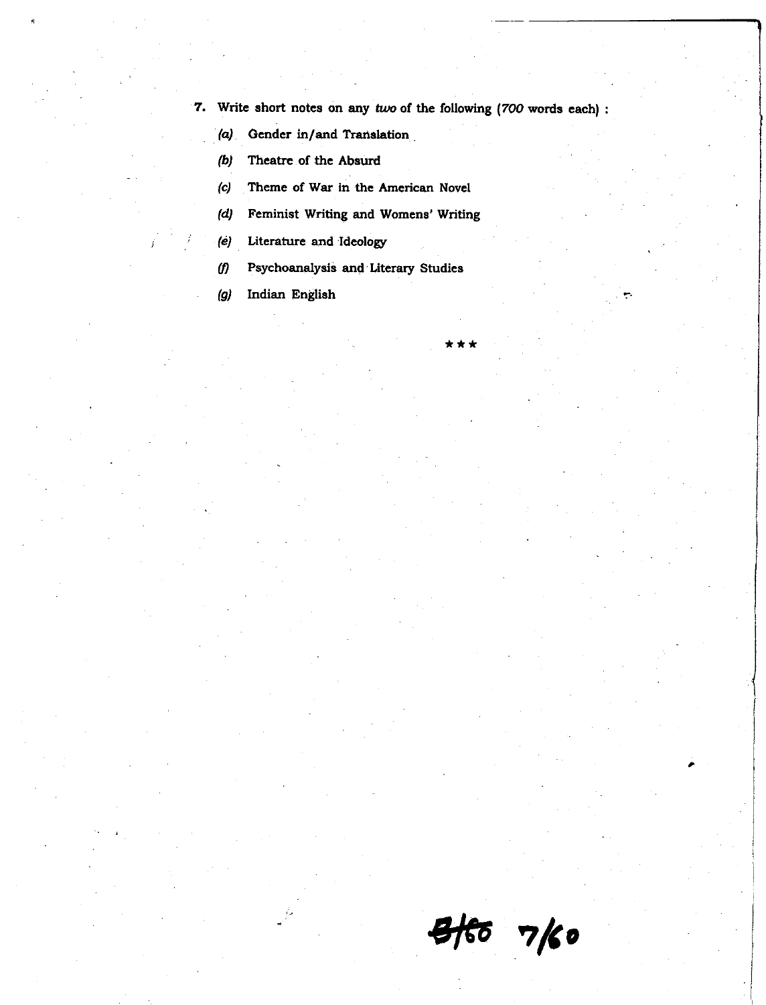**7. Write short notes on any two of the following** *( 700* **words each)**

\* \* \*

- **(a) Gender in/and Translation.**
- **(6) Theatre of the Absurd**
- **(c) Theme of War in the American Novel**
- **(d) Feminist Writing and Womens**' **Writing**
- **(e) Literature and Ideology**
- $(f)$ **Psychoanalysis and Literary Studies**
- **(g) Indian English**

**s**K6 vk.